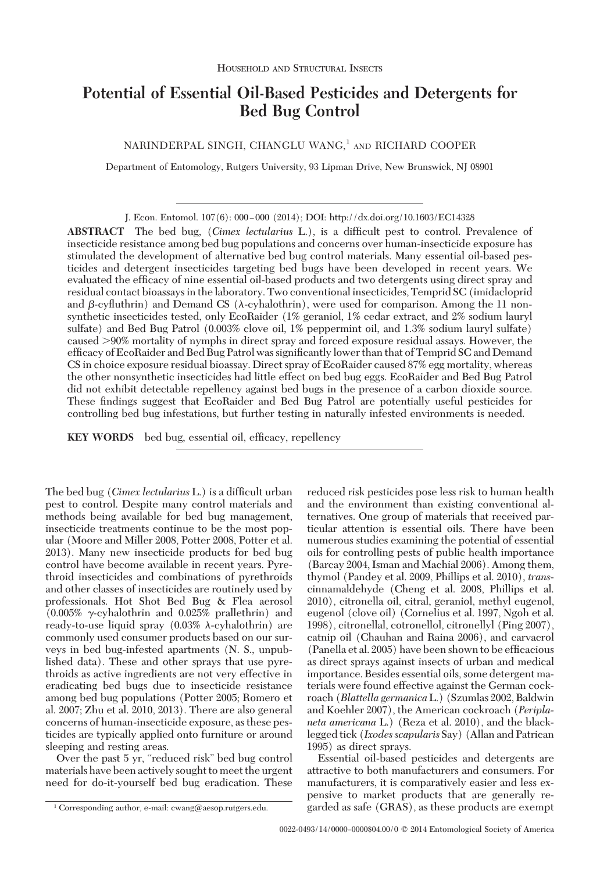# **Potential of Essential Oil-Based Pesticides and Detergents for Bed Bug Control**

NARINDERPAL SINGH, CHANGLU WANG,<sup>1</sup> AND RICHARD COOPER

Department of Entomology, Rutgers University, 93 Lipman Drive, New Brunswick, NJ 08901

J. Econ. Entomol. 107(6): 000-000 (2014); DOI: http://dx.doi.org/10.1603/EC14328

**ABSTRACT** The bed bug, (*Cimex lectularius* L.), is a difÞcult pest to control. Prevalence of insecticide resistance among bed bug populations and concerns over human-insecticide exposure has stimulated the development of alternative bed bug control materials. Many essential oil-based pesticides and detergent insecticides targeting bed bugs have been developed in recent years. We evaluated the efficacy of nine essential oil-based products and two detergents using direct spray and residual contact bioassays in the laboratory. Two conventional insecticides, Temprid SC (imidacloprid and  $\beta$ -cyfluthrin) and Demand CS ( $\lambda$ -cyhalothrin), were used for comparison. Among the 11 nonsynthetic insecticides tested, only EcoRaider (1% geraniol, 1% cedar extract, and 2% sodium lauryl sulfate) and Bed Bug Patrol (0.003% clove oil, 1% peppermint oil, and 1.3% sodium lauryl sulfate) caused -90% mortality of nymphs in direct spray and forced exposure residual assays. However, the efficacy of EcoRaider and Bed Bug Patrol was significantly lower than that of Temprid SC and Demand CS in choice exposure residual bioassay. Direct spray of EcoRaider caused 87% egg mortality, whereas the other nonsynthetic insecticides had little effect on bed bug eggs. EcoRaider and Bed Bug Patrol did not exhibit detectable repellency against bed bugs in the presence of a carbon dioxide source. These findings suggest that EcoRaider and Bed Bug Patrol are potentially useful pesticides for controlling bed bug infestations, but further testing in naturally infested environments is needed.

**KEY WORDS** bed bug, essential oil, efficacy, repellency

The bed bug (*Cimex lectularius* L.) is a difficult urban pest to control. Despite many control materials and methods being available for bed bug management, insecticide treatments continue to be the most popular (Moore and Miller 2008, Potter 2008, Potter et al. 2013). Many new insecticide products for bed bug control have become available in recent years. Pyrethroid insecticides and combinations of pyrethroids and other classes of insecticides are routinely used by professionals. Hot Shot Bed Bug & Flea aerosol  $(0.005\% \text{ y-cyhalothrin}$  and  $0.025\%$  prallethrin) and ready-to-use liquid spray  $(0.03\% \lambda$ -cyhalothrin) are commonly used consumer products based on our surveys in bed bug-infested apartments (N. S., unpublished data). These and other sprays that use pyrethroids as active ingredients are not very effective in eradicating bed bugs due to insecticide resistance among bed bug populations (Potter 2005; Romero et al. 2007; Zhu et al. 2010, 2013). There are also general concerns of human-insecticide exposure, as these pesticides are typically applied onto furniture or around sleeping and resting areas.

Over the past 5 yr, "reduced risk" bed bug control materials have been actively sought to meet the urgent need for do-it-yourself bed bug eradication. These reduced risk pesticides pose less risk to human health

Essential oil-based pesticides and detergents are attractive to both manufacturers and consumers. For manufacturers, it is comparatively easier and less expensive to market products that are generally re-<sup>1</sup> Corresponding author, e-mail: cwang@aesop.rutgers.edu. **2** and garded as safe (GRAS), as these products are exempt

and the environment than existing conventional alternatives. One group of materials that received particular attention is essential oils. There have been numerous studies examining the potential of essential oils for controlling pests of public health importance (Barcay 2004, Isman and Machial 2006). Among them, thymol (Pandey et al. 2009, Phillips et al. 2010), *trans*cinnamaldehyde (Cheng et al. 2008, Phillips et al. 2010), citronella oil, citral, geraniol, methyl eugenol, eugenol (clove oil) (Cornelius et al. 1997, Ngoh et al. 1998), citronellal, cotronellol, citronellyl (Ping 2007), catnip oil (Chauhan and Raina 2006), and carvacrol (Panella et al. 2005) have been shown to be efficacious as direct sprays against insects of urban and medical importance. Besides essential oils, some detergent materials were found effective against the German cockroach (*Blattella germanica*L.) (Szumlas 2002, Baldwin and Koehler 2007), the American cockroach (*Periplaneta americana* L.) (Reza et al. 2010), and the blacklegged tick (*Ixodes scapularis* Say) (Allan and Patrican 1995) as direct sprays.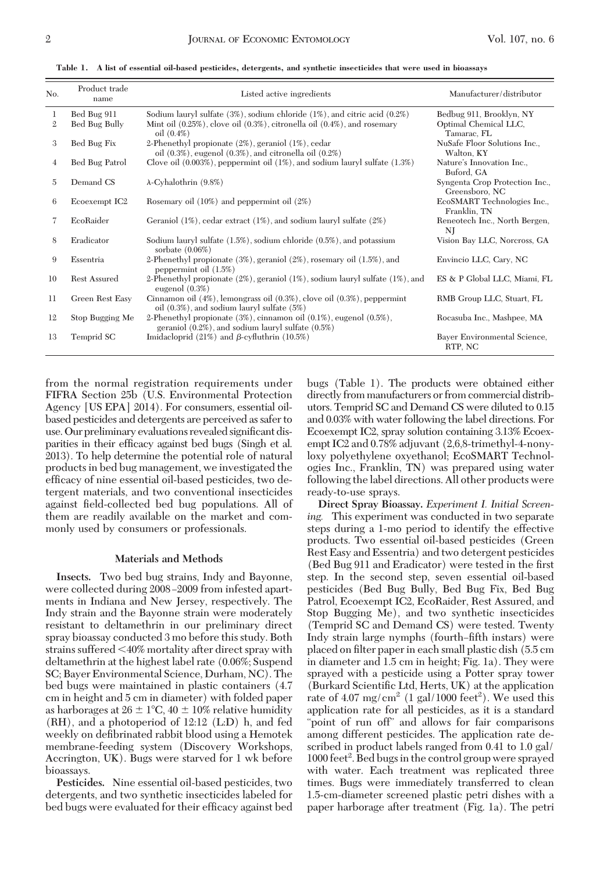|  | Table 1. A list of essential oil-based pesticides, detergents, and synthetic insecticides that were used in bioassays |  |  |  |  |  |  |  |
|--|-----------------------------------------------------------------------------------------------------------------------|--|--|--|--|--|--|--|
|--|-----------------------------------------------------------------------------------------------------------------------|--|--|--|--|--|--|--|

| No.               | Product trade<br>name        | Listed active ingredients                                                                                                                                                     | Manufacturer/distributor                                         |
|-------------------|------------------------------|-------------------------------------------------------------------------------------------------------------------------------------------------------------------------------|------------------------------------------------------------------|
| 1<br>$\mathbf{2}$ | Bed Bug 911<br>Bed Bug Bully | Sodium lauryl sulfate (3%), sodium chloride (1%), and citric acid (0.2%)<br>Mint oil $(0.25\%)$ , clove oil $(0.3\%)$ , citronella oil $(0.4\%)$ , and rosemary<br>oil (0.4%) | Bedbug 911, Brooklyn, NY<br>Optimal Chemical LLC,<br>Tamarac, FL |
| 3                 | Bed Bug Fix                  | 2-Phenethyl propionate (2%), geraniol (1%), cedar<br>oil $(0.3\%)$ , eugenol $(0.3\%)$ , and citronella oil $(0.2\%)$                                                         | NuSafe Floor Solutions Inc.,<br>Walton, KY                       |
| $\overline{4}$    | Bed Bug Patrol               | Clove oil $(0.003\%)$ , peppermint oil $(1\%)$ , and sodium lauryl sulfate $(1.3\%)$                                                                                          | Nature's Innovation Inc.,<br>Buford, GA                          |
| 5                 | Demand CS                    | $\lambda$ -Cyhalothrin (9.8%)                                                                                                                                                 | Syngenta Crop Protection Inc.,<br>Greensboro, NC                 |
| 6                 | Ecoexempt IC <sub>2</sub>    | Rosemary oil $(10\%)$ and peppermint oil $(2\%)$                                                                                                                              | EcoSMART Technologies Inc.,<br>Franklin, TN                      |
| 7                 | EcoRaider                    | Geraniol $(1\%)$ , cedar extract $(1\%)$ , and sodium lauryl sulfate $(2\%)$                                                                                                  | Reneotech Inc., North Bergen,<br>NI                              |
| 8                 | Eradicator                   | Sodium lauryl sulfate $(1.5\%)$ , sodium chloride $(0.5\%)$ , and potassium<br>sorbate $(0.06\%)$                                                                             | Vision Bay LLC, Norcross, GA                                     |
| 9                 | Essentria                    | 2-Phenethyl propionate (3%), geraniol (2%), rosemary oil (1.5%), and<br>peppermint oil $(1.5%)$                                                                               | Envincio LLC, Cary, NC                                           |
| 10                | <b>Rest Assured</b>          | 2-Phenethyl propionate $(2\%)$ , geraniol $(1\%)$ , sodium lauryl sulfate $(1\%)$ , and<br>eugenol $(0.3\%)$                                                                  | ES & P Global LLC, Miami, FL                                     |
| 11                | Green Rest Easy              | Cinnamon oil $(4\%)$ , lemongrass oil $(0.3\%)$ , clove oil $(0.3\%)$ , peppermint<br>oil $(0.3\%)$ , and sodium lauryl sulfate $(5\%)$                                       | RMB Group LLC, Stuart, FL                                        |
| 12                | Stop Bugging Me              | 2-Phenethyl propionate $(3\%)$ , cinnamon oil $(0.1\%)$ , eugenol $(0.5\%)$ ,<br>geraniol $(0.2\%)$ , and sodium lauryl sulfate $(0.5\%)$                                     | Rocasuba Inc., Mashpee, MA                                       |
| 13                | Temprid SC                   | Imidaeloprid $(21\%)$ and $\beta$ -cyfluthrin $(10.5\%)$                                                                                                                      | Bayer Environmental Science,<br>RTP, NC                          |

from the normal registration requirements under FIFRA Section 25b (U.S. Environmental Protection Agency [US EPA] 2014). For consumers, essential oilbased pesticides and detergents are perceived as safer to use. Our preliminary evaluations revealed significant disparities in their efficacy against bed bugs (Singh et al. 2013). To help determine the potential role of natural products in bed bug management, we investigated the efficacy of nine essential oil-based pesticides, two detergent materials, and two conventional insecticides against field-collected bed bug populations. All of them are readily available on the market and commonly used by consumers or professionals.

## **Materials and Methods**

**Insects.** Two bed bug strains, Indy and Bayonne, were collected during 2008-2009 from infested apartments in Indiana and New Jersey, respectively. The Indy strain and the Bayonne strain were moderately resistant to deltamethrin in our preliminary direct spray bioassay conducted 3 mo before this study. Both strains suffered 40% mortality after direct spray with deltamethrin at the highest label rate (0.06%; Suspend SC; Bayer Environmental Science, Durham, NC). The bed bugs were maintained in plastic containers (4.7 cm in height and 5 cm in diameter) with folded paper as harborages at  $26 \pm 1^{\circ}\text{C}$ ,  $40 \pm 10\%$  relative humidity (RH), and a photoperiod of 12:12 (L:D) h, and fed weekly on defibrinated rabbit blood using a Hemotek membrane-feeding system (Discovery Workshops, Accrington, UK). Bugs were starved for 1 wk before bioassays.

**Pesticides.** Nine essential oil-based pesticides, two detergents, and two synthetic insecticides labeled for bed bugs were evaluated for their efficacy against bed

bugs (Table 1). The products were obtained either directly from manufacturers or from commercial distributors. Temprid SC and Demand CS were diluted to 0.15 and 0.03% with water following the label directions. For Ecoexempt IC2, spray solution containing 3.13% Ecoexempt IC2 and 0.78% adjuvant (2,6,8-trimethyl-4-nonyloxy polyethylene oxyethanol; EcoSMART Technologies Inc., Franklin, TN) was prepared using water following the label directions. All other products were ready-to-use sprays.

**Direct Spray Bioassay.** *Experiment I. Initial Screening.* This experiment was conducted in two separate steps during a 1-mo period to identify the effective products. Two essential oil-based pesticides (Green Rest Easy and Essentria) and two detergent pesticides (Bed Bug 911 and Eradicator) were tested in the first step. In the second step, seven essential oil-based pesticides (Bed Bug Bully, Bed Bug Fix, Bed Bug Patrol, Ecoexempt IC2, EcoRaider, Rest Assured, and Stop Bugging Me), and two synthetic insecticides (Temprid SC and Demand CS) were tested. Twenty Indy strain large nymphs (fourth-fifth instars) were placed on filter paper in each small plastic dish (5.5 cm in diameter and 1.5 cm in height; Fig. 1a). They were sprayed with a pesticide using a Potter spray tower  $(Burkard Scientific Ltd, Herts, UK)$  at the application rate of  $4.07 \text{ mg/cm}^2$  (1 gal/1000 feet<sup>2</sup>). We used this application rate for all pesticides, as it is a standard "point of run off" and allows for fair comparisons among different pesticides. The application rate described in product labels ranged from 0.41 to 1.0 gal/ 1000 feet<sup>2</sup>. Bed bugs in the control group were sprayed with water. Each treatment was replicated three times. Bugs were immediately transferred to clean 1.5-cm-diameter screened plastic petri dishes with a paper harborage after treatment (Fig. 1a). The petri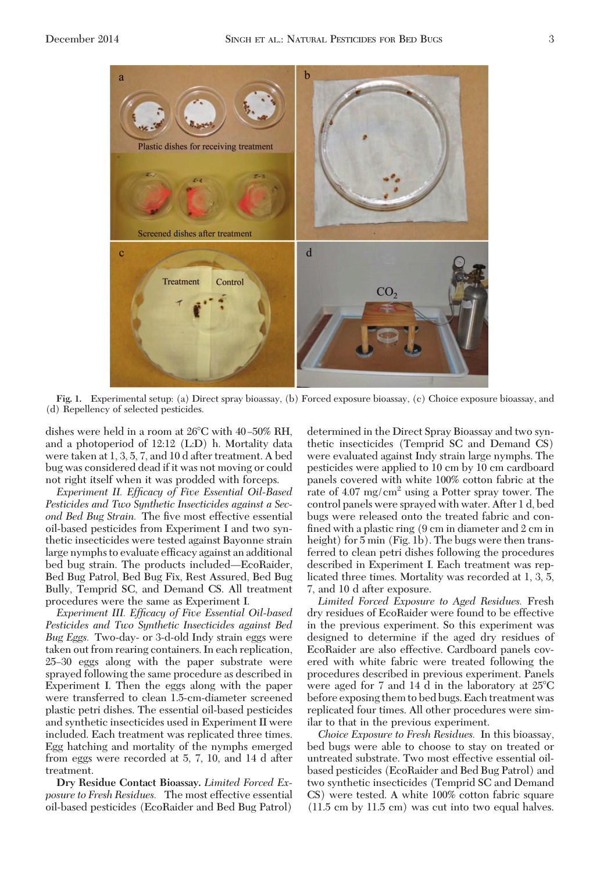

**Fig. 1.** Experimental setup: (a) Direct spray bioassay, (b) Forced exposure bioassay, (c) Choice exposure bioassay, and (d) Repellency of selected pesticides.

dishes were held in a room at  $26^{\circ}$ C with  $40-50\%$  RH, and a photoperiod of 12:12 (L:D) h. Mortality data were taken at 1, 3, 5, 7, and 10 d after treatment. A bed bug was considered dead if it was not moving or could not right itself when it was prodded with forceps.

*Experiment II. Efficacy of Five Essential Oil-Based Pesticides and Two Synthetic Insecticides against a Sec*ond Bed Bug Strain. The five most effective essential oil-based pesticides from Experiment I and two synthetic insecticides were tested against Bayonne strain large nymphs to evaluate efficacy against an additional bed bug strain. The products included—EcoRaider, Bed Bug Patrol, Bed Bug Fix, Rest Assured, Bed Bug Bully, Temprid SC, and Demand CS. All treatment procedures were the same as Experiment I.

*Experiment III. Efficacy of Five Essential Oil-based Pesticides and Two Synthetic Insecticides against Bed Bug Eggs.* Two-day- or 3-d-old Indy strain eggs were taken out from rearing containers. In each replication, 25Ð30 eggs along with the paper substrate were sprayed following the same procedure as described in Experiment I. Then the eggs along with the paper were transferred to clean 1.5-cm-diameter screened plastic petri dishes. The essential oil-based pesticides and synthetic insecticides used in Experiment II were included. Each treatment was replicated three times. Egg hatching and mortality of the nymphs emerged from eggs were recorded at 5, 7, 10, and 14 d after treatment.

**Dry Residue Contact Bioassay.** *Limited Forced Exposure to Fresh Residues.* The most effective essential oil-based pesticides (EcoRaider and Bed Bug Patrol)

determined in the Direct Spray Bioassay and two synthetic insecticides (Temprid SC and Demand CS) were evaluated against Indy strain large nymphs. The pesticides were applied to 10 cm by 10 cm cardboard panels covered with white 100% cotton fabric at the rate of  $4.07 \text{ mg/cm}^2$  using a Potter spray tower. The control panels were sprayed with water. After 1 d, bed bugs were released onto the treated fabric and confined with a plastic ring  $(9 \text{ cm in diameter and } 2 \text{ cm in})$ height) for 5 min (Fig. 1b). The bugs were then transferred to clean petri dishes following the procedures described in Experiment I. Each treatment was replicated three times. Mortality was recorded at 1, 3, 5, 7, and 10 d after exposure.

*Limited Forced Exposure to Aged Residues.* Fresh dry residues of EcoRaider were found to be effective in the previous experiment. So this experiment was designed to determine if the aged dry residues of EcoRaider are also effective. Cardboard panels covered with white fabric were treated following the procedures described in previous experiment. Panels were aged for 7 and 14 d in the laboratory at 25C before exposing them to bed bugs. Each treatment was replicated four times. All other procedures were similar to that in the previous experiment.

*Choice Exposure to Fresh Residues.* In this bioassay, bed bugs were able to choose to stay on treated or untreated substrate. Two most effective essential oilbased pesticides (EcoRaider and Bed Bug Patrol) and two synthetic insecticides (Temprid SC and Demand CS) were tested. A white 100% cotton fabric square (11.5 cm by 11.5 cm) was cut into two equal halves.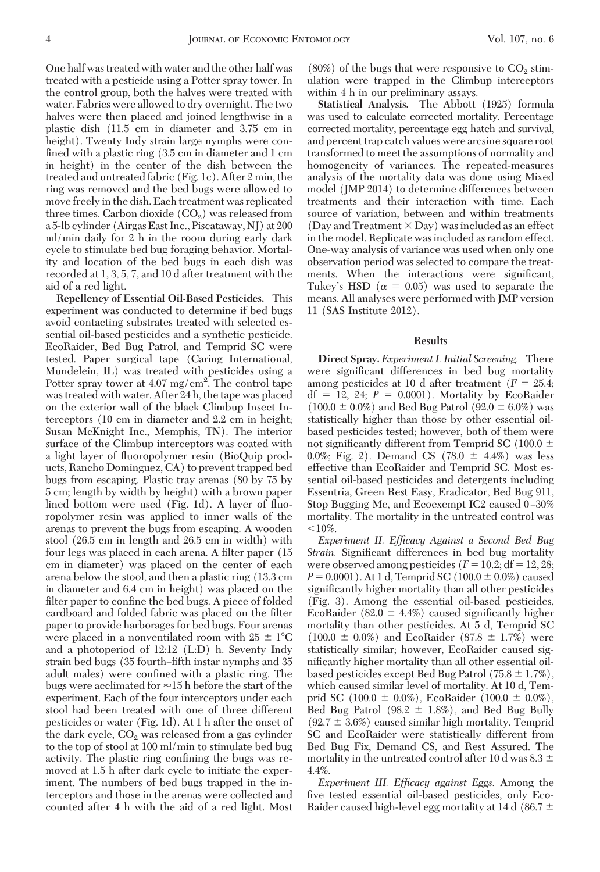One half was treated with water and the other half was treated with a pesticide using a Potter spray tower. In the control group, both the halves were treated with water. Fabrics were allowed to dry overnight. The two halves were then placed and joined lengthwise in a plastic dish (11.5 cm in diameter and 3.75 cm in height). Twenty Indy strain large nymphs were confined with a plastic ring (3.5 cm in diameter and 1 cm in height) in the center of the dish between the treated and untreated fabric (Fig. 1c). After 2 min, the ring was removed and the bed bugs were allowed to move freely in the dish. Each treatment was replicated three times. Carbon dioxide  $(CO<sub>2</sub>)$  was released from a 5-lb cylinder (Airgas East Inc., Piscataway, NJ) at 200 ml/min daily for 2 h in the room during early dark cycle to stimulate bed bug foraging behavior. Mortality and location of the bed bugs in each dish was recorded at 1, 3, 5, 7, and 10 d after treatment with the aid of a red light.

**Repellency of Essential Oil-Based Pesticides.** This experiment was conducted to determine if bed bugs avoid contacting substrates treated with selected essential oil-based pesticides and a synthetic pesticide. EcoRaider, Bed Bug Patrol, and Temprid SC were tested. Paper surgical tape (Caring International, Mundelein, IL) was treated with pesticides using a Potter spray tower at  $4.07 \text{ mg/cm}^2$ . The control tape was treated with water. After 24 h, the tape was placed on the exterior wall of the black Climbup Insect Interceptors (10 cm in diameter and 2.2 cm in height; Susan McKnight Inc., Memphis, TN). The interior surface of the Climbup interceptors was coated with a light layer of ßuoropolymer resin (BioQuip products, Rancho Dominguez, CA) to prevent trapped bed bugs from escaping. Plastic tray arenas (80 by 75 by 5 cm; length by width by height) with a brown paper lined bottom were used (Fig. 1d). A layer of fluoropolymer resin was applied to inner walls of the arenas to prevent the bugs from escaping. A wooden stool (26.5 cm in length and 26.5 cm in width) with four legs was placed in each arena. A filter paper (15) cm in diameter) was placed on the center of each arena below the stool, and then a plastic ring (13.3 cm in diameter and 6.4 cm in height) was placed on the filter paper to confine the bed bugs. A piece of folded cardboard and folded fabric was placed on the filter paper to provide harborages for bed bugs. Four arenas were placed in a nonventilated room with  $25 \pm 1^{\circ}$ C and a photoperiod of 12:12 (L:D) h. Seventy Indy strain bed bugs (35 fourth–fifth instar nymphs and 35 adult males) were confined with a plastic ring. The bugs were acclimated for  $\approx$  15 h before the start of the experiment. Each of the four interceptors under each stool had been treated with one of three different pesticides or water (Fig. 1d). At 1 h after the onset of the dark cycle,  $CO<sub>2</sub>$  was released from a gas cylinder to the top of stool at 100 ml/min to stimulate bed bug activity. The plastic ring confining the bugs was removed at 1.5 h after dark cycle to initiate the experiment. The numbers of bed bugs trapped in the interceptors and those in the arenas were collected and counted after 4 h with the aid of a red light. Most

 $(80\%)$  of the bugs that were responsive to  $CO<sub>2</sub>$  stimulation were trapped in the Climbup interceptors within 4 h in our preliminary assays.

**Statistical Analysis.** The Abbott (1925) formula was used to calculate corrected mortality. Percentage corrected mortality, percentage egg hatch and survival, and percent trap catch values were arcsine square root transformed to meet the assumptions of normality and homogeneity of variances. The repeated-measures analysis of the mortality data was done using Mixed model (JMP 2014) to determine differences between treatments and their interaction with time. Each source of variation, between and within treatments (Day and Treatment  $\times$  Day) was included as an effect in the model. Replicate was included as random effect. One-way analysis of variance was used when only one observation period was selected to compare the treatments. When the interactions were significant, Tukey's HSD ( $\alpha = 0.05$ ) was used to separate the means. All analyses were performed with JMP version 11 (SAS Institute 2012).

## **Results**

**Direct Spray.** *Experiment I. Initial Screening.* There were significant differences in bed bug mortality among pesticides at 10 d after treatment  $(F = 25.4;$  $df = 12$ , 24;  $P = 0.0001$ ). Mortality by EcoRaider  $(100.0 \pm 0.0\%)$  and Bed Bug Patrol  $(92.0 \pm 6.0\%)$  was statistically higher than those by other essential oilbased pesticides tested; however, both of them were not significantly different from Temprid SC (100.0  $\pm$ 0.0%; Fig. 2). Demand CS  $(78.0 \pm 4.4\%)$  was less effective than EcoRaider and Temprid SC. Most essential oil-based pesticides and detergents including Essentria, Green Rest Easy, Eradicator, Bed Bug 911, Stop Bugging Me, and Ecoexempt IC<sub>2</sub> caused  $0-30\%$ mortality. The mortality in the untreated control was  $10\%$ .

*Experiment II. Efficacy Against a Second Bed Bug Strain.* Significant differences in bed bug mortality were observed among pesticides  $(F = 10.2; df = 12, 28;$  $P = 0.0001$ . At 1 d, Temprid SC (100.0  $\pm$  0.0%) caused significantly higher mortality than all other pesticides (Fig. 3). Among the essential oil-based pesticides, EcoRaider (82.0  $\pm$  4.4%) caused significantly higher mortality than other pesticides. At 5 d, Temprid SC  $(100.0 \pm 0.0\%)$  and EcoRaider  $(87.8 \pm 1.7\%)$  were statistically similar; however, EcoRaider caused significantly higher mortality than all other essential oilbased pesticides except Bed Bug Patrol (75.8  $\pm$  1.7%), which caused similar level of mortality. At 10 d, Temprid SC (100.0  $\pm$  0.0%), EcoRaider (100.0  $\pm$  0.0%), Bed Bug Patrol (98.2  $\pm$  1.8%), and Bed Bug Bully  $(92.7 \pm 3.6%)$  caused similar high mortality. Temprid SC and EcoRaider were statistically different from Bed Bug Fix, Demand CS, and Rest Assured. The mortality in the untreated control after 10 d was 8.3  $\pm$ 4.4%.

*Experiment III. Efficacy against Eggs.* Among the five tested essential oil-based pesticides, only Eco-Raider caused high-level egg mortality at 14 d (86.7  $\pm$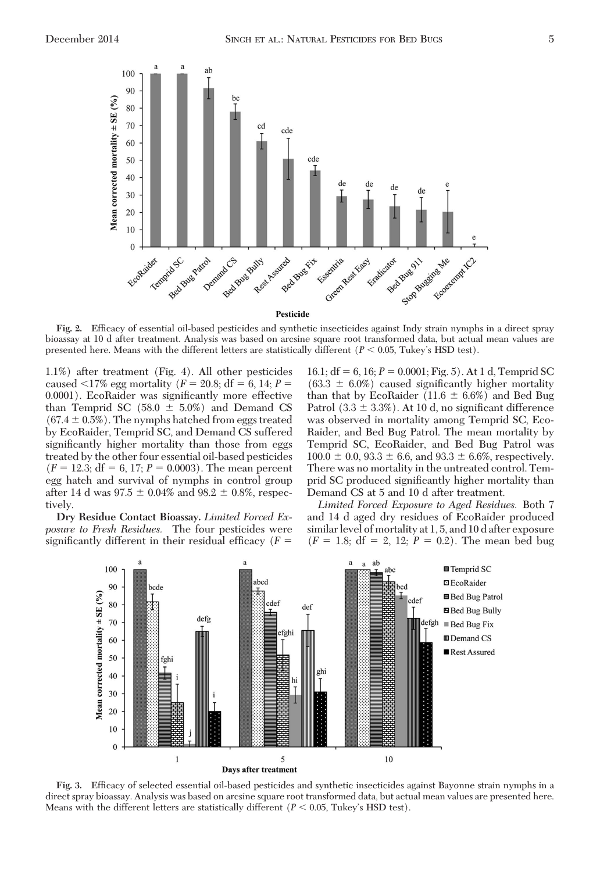

**Fig. 2.** EfÞcacy of essential oil-based pesticides and synthetic insecticides against Indy strain nymphs in a direct spray bioassay at 10 d after treatment. Analysis was based on arcsine square root transformed data, but actual mean values are presented here. Means with the different letters are statistically different ( $P < 0.05$ , Tukey's HSD test).

1.1%) after treatment (Fig. 4). All other pesticides caused  $\langle 17\%$  egg mortality (*F* = 20.8; df = 6, 14; *P* = 0.0001). EcoRaider was significantly more effective than Temprid SC  $(58.0 \pm 5.0\%)$  and Demand CS  $(67.4 \pm 0.5\%)$ . The nymphs hatched from eggs treated by EcoRaider, Temprid SC, and Demand CS suffered significantly higher mortality than those from eggs treated by the other four essential oil-based pesticides  $(F = 12.3; df = 6, 17; P = 0.0003)$ . The mean percent egg hatch and survival of nymphs in control group after 14 d was  $97.5 \pm 0.04\%$  and  $98.2 \pm 0.8\%$ , respectively.

**Dry Residue Contact Bioassay.** *Limited Forced Exposure to Fresh Residues.* The four pesticides were significantly different in their residual efficacy  $(F =$ 

16.1;  $df = 6$ , 16;  $P = 0.0001$ ; Fig. 5). At 1 d, Temprid SC  $(63.3 \pm 6.0\%)$  caused significantly higher mortality than that by EcoRaider (11.6  $\pm$  6.6%) and Bed Bug Patrol  $(3.3 \pm 3.3\%)$ . At 10 d, no significant difference was observed in mortality among Temprid SC, Eco-Raider, and Bed Bug Patrol. The mean mortality by Temprid SC, EcoRaider, and Bed Bug Patrol was  $100.0 \pm 0.0$ ,  $93.3 \pm 6.6$ , and  $93.3 \pm 6.6$ %, respectively. There was no mortality in the untreated control. Temprid SC produced significantly higher mortality than Demand CS at 5 and 10 d after treatment.

*Limited Forced Exposure to Aged Residues.* Both 7 and 14 d aged dry residues of EcoRaider produced similar level of mortality at 1, 5, and 10 d after exposure  $(F = 1.8; df = 2, 12; P = 0.2)$ . The mean bed bug



Fig. 3. Efficacy of selected essential oil-based pesticides and synthetic insecticides against Bayonne strain nymphs in a direct spray bioassay. Analysis was based on arcsine square root transformed data, but actual mean values are presented here. Means with the different letters are statistically different  $(P < 0.05$ , Tukey's HSD test).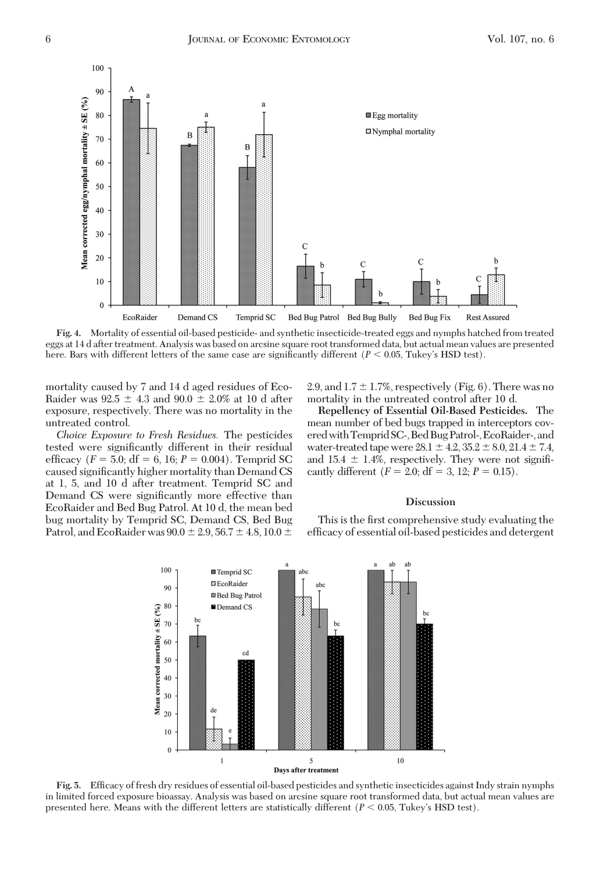

**Fig. 4.** Mortality of essential oil-based pesticide- and synthetic insecticide-treated eggs and nymphs hatched from treated eggs at 14 d after treatment. Analysis was based on arcsine square root transformed data, but actual mean values are presented here. Bars with different letters of the same case are significantly different  $(P < 0.05$ , Tukey's HSD test).

mortality caused by 7 and 14 d aged residues of Eco-Raider was  $92.5 \pm 4.3$  and  $90.0 \pm 2.0\%$  at 10 d after exposure, respectively. There was no mortality in the untreated control.

*Choice Exposure to Fresh Residues.* The pesticides tested were significantly different in their residual efficacy ( $F = 5.0$ ; df = 6, 16;  $P = 0.004$ ). Temprid SC caused significantly higher mortality than Demand CS at 1, 5, and 10 d after treatment. Temprid SC and Demand CS were significantly more effective than EcoRaider and Bed Bug Patrol. At 10 d, the mean bed bug mortality by Temprid SC, Demand CS, Bed Bug Patrol, and EcoRaider was  $90.0 \pm 2.9, 56.7 \pm 4.8, 10.0 \pm 0.0$ 

2.9, and  $1.7 \pm 1.7$ %, respectively (Fig. 6). There was no mortality in the untreated control after 10 d.

**Repellency of Essential Oil-Based Pesticides.** The mean number of bed bugs trapped in interceptors coveredwithTemprid SC-,BedBugPatrol-,EcoRaider-,and water-treated tape were  $28.1 \pm 4.2, 35.2 \pm 8.0, 21.4 \pm 7.4,$ and  $15.4 \pm 1.4\%$ , respectively. They were not significantly different  $(F = 2.0; df = 3, 12; P = 0.15)$ .

# **Discussion**

This is the first comprehensive study evaluating the efficacy of essential oil-based pesticides and detergent



Fig. 5. Efficacy of fresh dry residues of essential oil-based pesticides and synthetic insecticides against Indy strain nymphs in limited forced exposure bioassay. Analysis was based on arcsine square root transformed data, but actual mean values are presented here. Means with the different letters are statistically different ( $P < 0.05$ , Tukey's HSD test).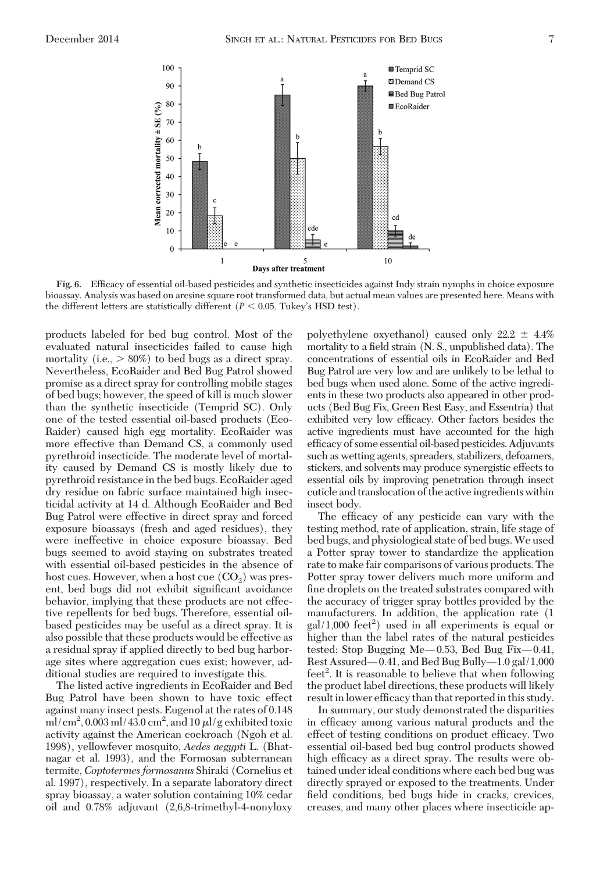

**Fig. 6.** EfÞcacy of essential oil-based pesticides and synthetic insecticides against Indy strain nymphs in choice exposure bioassay. Analysis was based on arcsine square root transformed data, but actual mean values are presented here. Means with the different letters are statistically different  $(P < 0.05$ , Tukey's HSD test).

products labeled for bed bug control. Most of the evaluated natural insecticides failed to cause high mortality (i.e.,  $> 80\%$ ) to bed bugs as a direct spray. Nevertheless, EcoRaider and Bed Bug Patrol showed promise as a direct spray for controlling mobile stages of bed bugs; however, the speed of kill is much slower than the synthetic insecticide (Temprid SC). Only one of the tested essential oil-based products (Eco-Raider) caused high egg mortality. EcoRaider was more effective than Demand CS, a commonly used pyrethroid insecticide. The moderate level of mortality caused by Demand CS is mostly likely due to pyrethroid resistance in the bed bugs. EcoRaider aged dry residue on fabric surface maintained high insecticidal activity at 14 d. Although EcoRaider and Bed Bug Patrol were effective in direct spray and forced exposure bioassays (fresh and aged residues), they were ineffective in choice exposure bioassay. Bed bugs seemed to avoid staying on substrates treated with essential oil-based pesticides in the absence of host cues. However, when a host cue  $(CO<sub>2</sub>)$  was present, bed bugs did not exhibit significant avoidance behavior, implying that these products are not effective repellents for bed bugs. Therefore, essential oilbased pesticides may be useful as a direct spray. It is also possible that these products would be effective as a residual spray if applied directly to bed bug harborage sites where aggregation cues exist; however, additional studies are required to investigate this.

The listed active ingredients in EcoRaider and Bed Bug Patrol have been shown to have toxic effect against many insect pests. Eugenol at the rates of 0.148 ml/cm<sup>2</sup>, 0.003 ml/43.0 cm<sup>2</sup>, and 10  $\mu$ l/g exhibited toxic activity against the American cockroach (Ngoh et al. 1998), yellowfever mosquito, *Aedes aegypti* L. (Bhatnagar et al. 1993), and the Formosan subterranean termite, *Coptotermes formosanus* Shiraki (Cornelius et al. 1997), respectively. In a separate laboratory direct spray bioassay, a water solution containing 10% cedar oil and 0.78% adjuvant (2,6,8-trimethyl-4-nonyloxy

polyethylene oxyethanol) caused only  $22.2 \pm 4.4\%$ mortality to a field strain (N. S., unpublished data). The concentrations of essential oils in EcoRaider and Bed Bug Patrol are very low and are unlikely to be lethal to bed bugs when used alone. Some of the active ingredients in these two products also appeared in other products (Bed Bug Fix, Green Rest Easy, and Essentria) that exhibited very low efficacy. Other factors besides the active ingredients must have accounted for the high efficacy of some essential oil-based pesticides. Adjuvants such as wetting agents, spreaders, stabilizers, defoamers, stickers, and solvents may produce synergistic effects to essential oils by improving penetration through insect cuticle and translocation of the active ingredients within insect body.

The efficacy of any pesticide can vary with the testing method, rate of application, strain, life stage of bed bugs, and physiological state of bed bugs.We used a Potter spray tower to standardize the application rate to make fair comparisons of various products. The Potter spray tower delivers much more uniform and fine droplets on the treated substrates compared with the accuracy of trigger spray bottles provided by the manufacturers. In addition, the application rate (1  $\text{gal}/1,000$  feet<sup>2</sup>) used in all experiments is equal or higher than the label rates of the natural pesticides tested: Stop Bugging Me $-0.53$ , Bed Bug Fix $-0.41$ , Rest Assured— $0.41$ , and Bed Bug Bully— $1.0$  gal/ $1,000$ feet<sup>2</sup>. It is reasonable to believe that when following the product label directions, these products will likely result in lower efficacy than that reported in this study.

In summary, our study demonstrated the disparities in efficacy among various natural products and the effect of testing conditions on product efficacy. Two essential oil-based bed bug control products showed high efficacy as a direct spray. The results were obtained under ideal conditions where each bed bug was directly sprayed or exposed to the treatments. Under field conditions, bed bugs hide in cracks, crevices, creases, and many other places where insecticide ap-